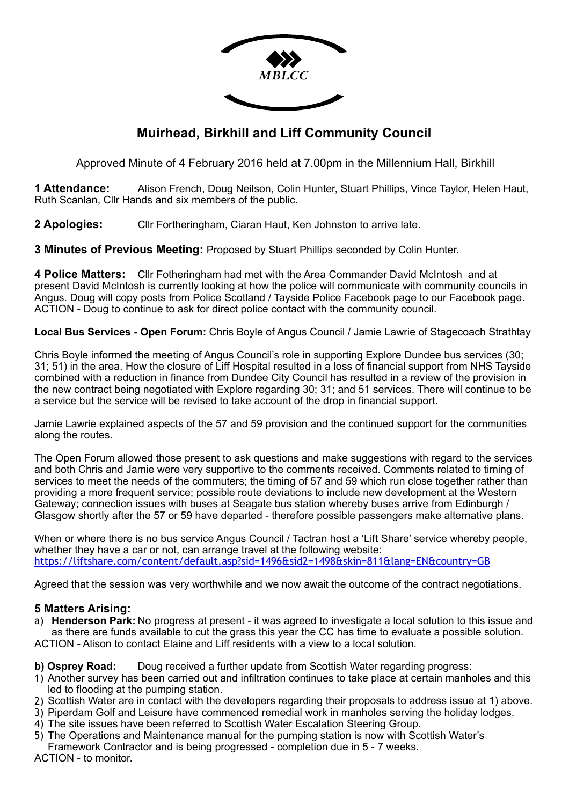

# **Muirhead, Birkhill and Liff Community Council**

Approved Minute of 4 February 2016 held at 7.00pm in the Millennium Hall, Birkhill

**1 Attendance:** Alison French, Doug Neilson, Colin Hunter, Stuart Phillips, Vince Taylor, Helen Haut, Ruth Scanlan, Cllr Hands and six members of the public.

**2 Apologies:** Cllr Fortheringham, Ciaran Haut, Ken Johnston to arrive late.

**3 Minutes of Previous Meeting:** Proposed by Stuart Phillips seconded by Colin Hunter.

**4 Police Matters:** Cllr Fotheringham had met with the Area Commander David McIntosh and at present David McIntosh is currently looking at how the police will communicate with community councils in Angus. Doug will copy posts from Police Scotland / Tayside Police Facebook page to our Facebook page. ACTION - Doug to continue to ask for direct police contact with the community council.

**Local Bus Services - Open Forum:** Chris Boyle of Angus Council / Jamie Lawrie of Stagecoach Strathtay

Chris Boyle informed the meeting of Angus Council's role in supporting Explore Dundee bus services (30; 31; 51) in the area. How the closure of Liff Hospital resulted in a loss of financial support from NHS Tayside combined with a reduction in finance from Dundee City Council has resulted in a review of the provision in the new contract being negotiated with Explore regarding 30; 31; and 51 services. There will continue to be a service but the service will be revised to take account of the drop in financial support.

Jamie Lawrie explained aspects of the 57 and 59 provision and the continued support for the communities along the routes.

The Open Forum allowed those present to ask questions and make suggestions with regard to the services and both Chris and Jamie were very supportive to the comments received. Comments related to timing of services to meet the needs of the commuters; the timing of 57 and 59 which run close together rather than providing a more frequent service; possible route deviations to include new development at the Western Gateway; connection issues with buses at Seagate bus station whereby buses arrive from Edinburgh / Glasgow shortly after the 57 or 59 have departed - therefore possible passengers make alternative plans.

When or where there is no bus service Angus Council / Tactran host a 'Lift Share' service whereby people, whether they have a car or not, can arrange travel at the following website: <https://liftshare.com/content/default.asp?sid=1496&sid2=1498&skin=811&lang=EN&country=GB>

Agreed that the session was very worthwhile and we now await the outcome of the contract negotiations.

## **5 Matters Arising:**

a) **Henderson Park:** No progress at present - it was agreed to investigate a local solution to this issue and as there are funds available to cut the grass this year the CC has time to evaluate a possible solution. ACTION - Alison to contact Elaine and Liff residents with a view to a local solution.

**b) Osprey Road:** Doug received a further update from Scottish Water regarding progress:

- 1) Another survey has been carried out and infiltration continues to take place at certain manholes and this led to flooding at the pumping station.
- 2) Scottish Water are in contact with the developers regarding their proposals to address issue at 1) above.
- 3) Piperdam Golf and Leisure have commenced remedial work in manholes serving the holiday lodges.
- 4) The site issues have been referred to Scottish Water Escalation Steering Group.
- 5) The Operations and Maintenance manual for the pumping station is now with Scottish Water's
- Framework Contractor and is being progressed completion due in 5 7 weeks.

ACTION - to monitor.